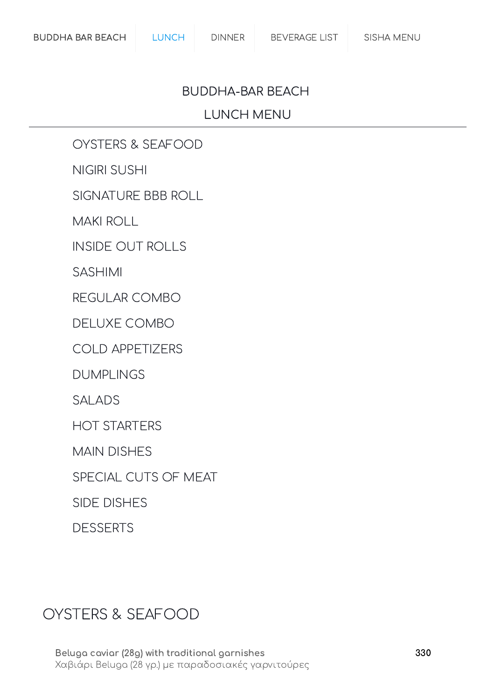#### BUDDHA-BAR BEACH

#### LUNCH MENU

OYSTERS & [SEAFOOD](#page-0-0)

[NIGIRI SUSHI](#page-1-0)

[SIGNATURE](#page-2-0) BBB ROLL

[MAKI ROLL](#page-2-1)

INSIDE [OUT ROLLS](#page-3-0)

[SASHIMI](#page-3-1)

[REGULAR](#page-4-0) COMBO

[DELUXE](#page-4-1) COMBO

COLD [APPETIZERS](#page-5-0)

[DUMPLINGS](#page-5-1)

[SALADS](#page-6-0)

[HOT STARTERS](#page-6-1)

MAIN [DISHES](#page-7-0)

SPECIAL CUTS [OF MEAT](#page-8-0)

SIDE [DISHES](#page-8-1)

[DESSERTS](#page-9-0)

#### <span id="page-0-0"></span>OYSTERS & SEAFOOD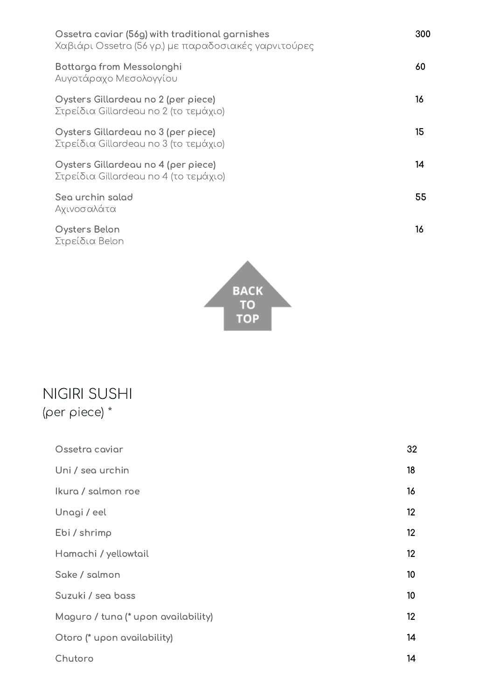| Ossetra caviar (56g) with traditional garnishes<br>Χαβιάρι Ossetra (56 γρ.) με παραδοσιακές γαρνιτούρες | 300 |
|---------------------------------------------------------------------------------------------------------|-----|
| Bottarga from Messolonghi<br>Αυγοτάραχο Μεσολογγίου                                                     | 60  |
| Oysters Gillardeau no 2 (per piece)<br>Στρείδια Gillardeau no 2 (το τεμάχιο)                            | 16  |
| Oysters Gillardeau no 3 (per piece)<br>Στρείδια Gillardeau no 3 (το τεμάχιο)                            | 15  |
| Oysters Gillardeau no 4 (per piece)<br>Στρείδια Gillardeau no 4 (το τεμάχιο)                            | 14  |
| Sea urchin salad<br>Αχινοσαλάτα                                                                         | 55  |

Oysters Belon Στρείδια Belon



16

### <span id="page-1-0"></span>NIGIRI SUSHI (per piece) \*

| Ossetra caviar                      | 32 |
|-------------------------------------|----|
| Uni / sea urchin                    | 18 |
| Ikura / salmon roe                  | 16 |
| Unagi / eel                         | 12 |
| Ebi / shrimp                        | 12 |
| Hamachi / yellowtail                | 12 |
| Sake / salmon                       | 10 |
| Suzuki / sea bass                   | 10 |
| Maguro / tuna (* upon availability) | 12 |
| Otoro (* upon availability)         | 14 |
| Chutoro                             | 14 |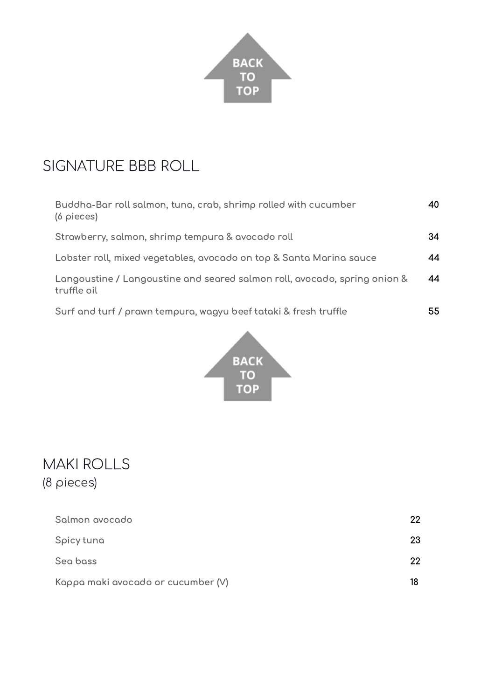

## <span id="page-2-0"></span>SIGNATURE BBB ROLL

| Buddha-Bar roll salmon, tuna, crab, shrimp rolled with cucumber<br>$(6 \text{ pieces})$  | 40 |
|------------------------------------------------------------------------------------------|----|
| Strawberry, salmon, shrimp tempura & avocado roll                                        | 34 |
| Lobster roll, mixed vegetables, avocado on top & Santa Marina sauce                      | 44 |
| Langoustine / Langoustine and seared salmon roll, avocado, spring onion &<br>truffle oil | 44 |
| Surf and turf / prawn tempura, wagyu beef tataki & fresh truffle                         | 55 |



### <span id="page-2-1"></span>MAKI ROLLS (8 pieces)

| Salmon avocado                     | 22 |
|------------------------------------|----|
| Spicy tuna                         | 23 |
| Sea bass                           | 22 |
| Kappa maki avocado or cucumber (V) | 18 |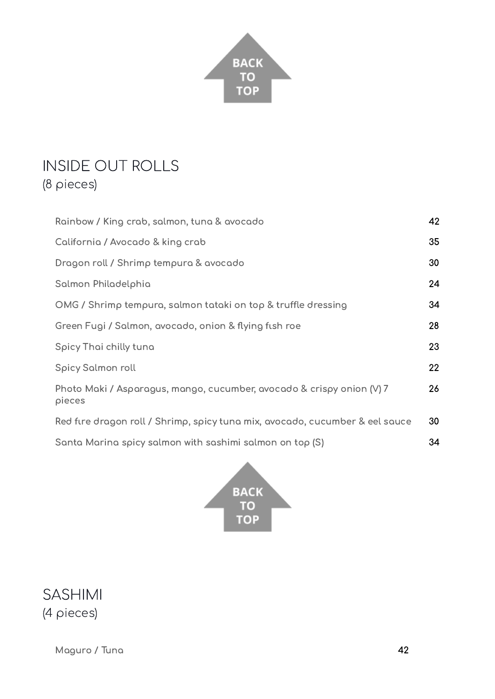

# <span id="page-3-0"></span>INSIDE OUT ROLLS

(8 pieces)

| Rainbow / King crab, salmon, tuna & avocado                                     | 42 |
|---------------------------------------------------------------------------------|----|
| California / Avocado & king crab                                                | 35 |
| Dragon roll / Shrimp tempura & avocado                                          | 30 |
| Salmon Philadelphia                                                             | 24 |
| OMG / Shrimp tempura, salmon tataki on top & truffle dressing                   | 34 |
| Green Fugi / Salmon, avocado, onion & flying fish roe                           | 28 |
| Spicy Thai chilly tuna                                                          | 23 |
| Spicy Salmon roll                                                               | 22 |
| Photo Maki / Asparagus, mango, cucumber, avocado & crispy onion (V) 7<br>pieces | 26 |
| Red fire dragon roll / Shrimp, spicy tuna mix, avocado, cucumber & eel sauce    | 30 |
| Santa Marina spicy salmon with sashimi salmon on top (S)                        | 34 |



<span id="page-3-1"></span>SASHIMI (4 pieces)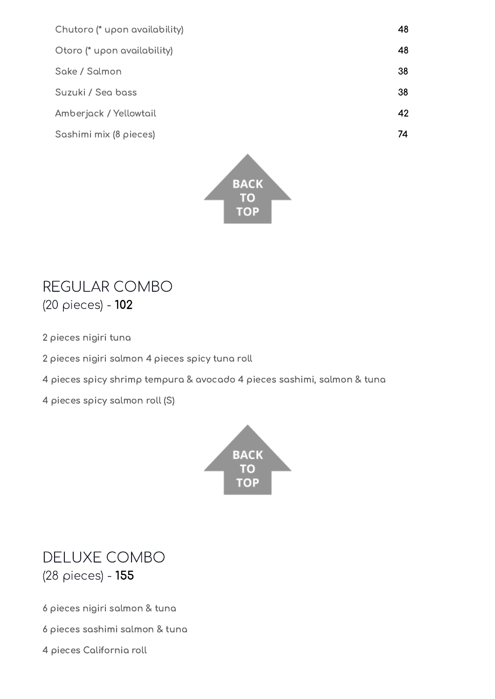| 48 |
|----|
| 48 |
| 38 |
| 38 |
| 42 |
| 74 |
|    |



#### <span id="page-4-0"></span>REGULAR COMBO (20 pieces) - 102

- 2 pieces nigiri tuna
- 2 pieces nigiri salmon 4 pieces spicy tuna roll
- 4 pieces spicy shrimp tempura & avocado 4 pieces sashimi, salmon & tuna
- 4 pieces spicy salmon roll (S)



#### <span id="page-4-1"></span>DELUXE COMBO (28 pieces) - 155

6 pieces nigiri salmon & tuna

- 6 pieces sashimi salmon & tuna
- 4 pieces California roll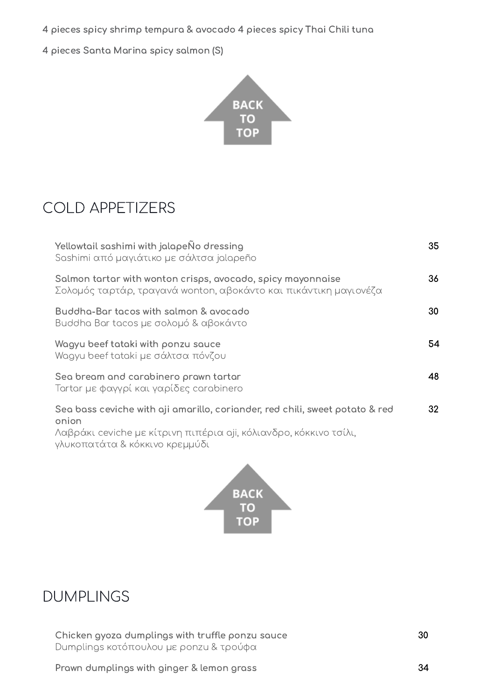4 pieces spicy shrimp tempura & avocado 4 pieces spicy Thai Chili tuna

4 pieces Santa Marina spicy salmon (S)



## <span id="page-5-0"></span>COLD APPETIZERS

| Yellowtail sashimi with jalapeÑo dressing<br>Sashimi από μαγιάτικο με σάλτσα jalapeño                                                                      | 35 |
|------------------------------------------------------------------------------------------------------------------------------------------------------------|----|
| Salmon tartar with wonton crisps, avocado, spicy mayonnaise<br>Σολομός ταρτάρ, τραγανά wonton, αβοκάντο και πικάντικη μαγιονέζα                            | 36 |
| Buddha-Bar tacos with salmon & avocado<br>Buddha Bar tacos με σολομό & αβοκάντο                                                                            | 30 |
| Wagyu beef tataki with ponzu sauce<br>Wagyu beef tataki με σάλτσα πόνζου                                                                                   | 54 |
| Sea bream and carabinero prawn tartar<br>Tartar με φαγγρί και γαρίδες carabinero                                                                           | 48 |
| Sea bass ceviche with aji amarillo, coriander, red chili, sweet potato & red<br>onion<br>Λαβράκι ceviche με κίτρινη πιπέρια aji, κόλιανδρο, κόκκινο τσίλι, | 32 |

γλυκοπατάτα & κόκκινο κρεμμύδι



#### <span id="page-5-1"></span>DUMPLINGS

Chicken gyoza dumplings with truffle ponzu sauce Dumplings κοτόπουλου με ponzu & τρούφα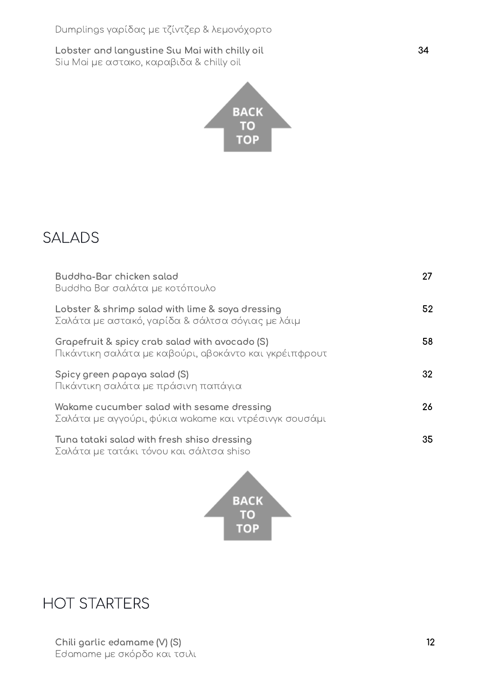Lobster and langustine Sιu Mai with chilly oil Siu Mai με αστακο, καραβιδα & chilly oil



### <span id="page-6-0"></span>SALADS

| Buddha-Bar chicken salad<br>Buddha Bar σαλάτα με κοτόπουλο                                              | 27  |
|---------------------------------------------------------------------------------------------------------|-----|
| Lobster & shrimp salad with lime & soya dressing<br>Σαλάτα με αστακό, γαρίδα & σάλτσα σόγιας με λάιμ    | 52  |
| Grapefruit & spicy crab salad with avocado (S)<br>Πικάντικη σαλάτα με καβούρι, αβοκάντο και γκρέιπφρουτ | 58  |
| Spicy green papaya salad (S)<br>Πικάντικη σαλάτα με πράσινη παπάγια                                     | 32  |
| Wakame cucumber salad with sesame dressing<br>Σαλάτα με αγγούρι, φύκια wakame και ντρέσινγκ σουσάμι     | 26  |
| Tuna tataki salad with fresh shiso dressing<br>Σαλάτα με τατάκι τόνου και σάλτσα shiso                  | 35. |



#### <span id="page-6-1"></span>HOT STARTERS

34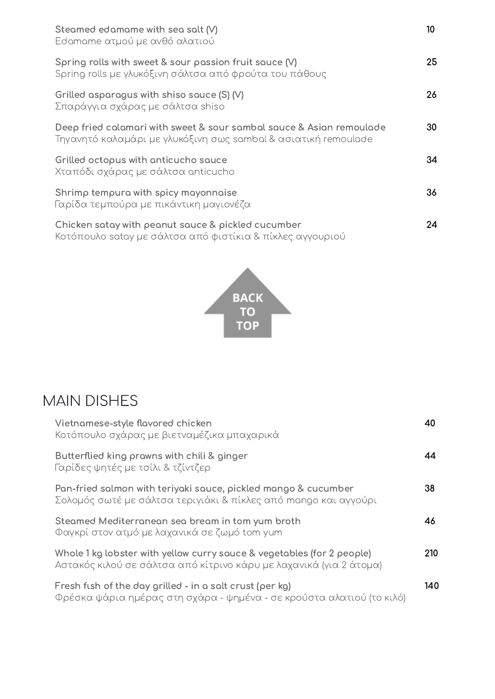| Steamed edamame with sea salt $(V)$<br>Edamame ατμού με ανθό αλατιού                                                                   | 10 |
|----------------------------------------------------------------------------------------------------------------------------------------|----|
| Spring rolls with sweet & sour passion fruit sauce (V)<br>Spring rolls με γλυκόξινη σάλτσα από φρούτα του πάθους                       | 25 |
| Grilled asparagus with shiso sauce (S) (V)<br>Σπαράγγια σχάρας με σάλτσα shiso                                                         | 26 |
| Deep fried calamari with sweet & sour sambal sauce & Asian remoulade<br>Τηγανητό καλαμάρι με γλυκόξινη σως sambal & ασιατική remoulade | 30 |
| Grilled octopus with anticucho sauce<br>Χταπόδι σχάρας με σάλτσα anticucho                                                             | 34 |
| Shrimp tempura with spicy mayonnaise<br>Γαρίδα τεμπούρα με πικάντικη μαγιονέζα                                                         | 36 |
| Chicken satay with peanut sauce & pickled cucumber<br>Κοτόπουλο satay με σάλτσα από φιστίκια & πίκλες αγγουριού                        | 24 |



## <span id="page-7-0"></span>MAIN DISHES

| Vietnamese-style flavored chicken<br>Κοτόπουλο σχάρας με βιετναμέζικα μπαχαρικά                                                              | 40  |
|----------------------------------------------------------------------------------------------------------------------------------------------|-----|
| Butterflied king prawns with chili & ginger<br>Γαρίδες ψητές με τσίλι & τζίντζερ                                                             | 44  |
| Pan-fried salmon with teriyaki sauce, pickled mango & cucumber<br>Σολομός σωτέ με σάλτσα τεριγιάκι & πίκλες από mango και αγγούρι            | 38  |
| Steamed Mediterranean sea bream in tom yum broth<br>Φαγκρί στον ατμό με λαχανικά σε ζωμό tom yum                                             | 46  |
| Whole 1 kg lobster with yellow curry sauce & vegetables (for 2 people)<br>Αστακός κιλού σε σάλτσα από κίτρινο κάρυ με λαχανικά (για 2 άτομα) | 210 |
| Fresh fish of the day grilled - in a salt crust (per kg)<br>Φρέσκα ψάρια ημέρας στη σχάρα - ψημένα - σε κρούστα αλατιού (το κιλό)            | 140 |
|                                                                                                                                              |     |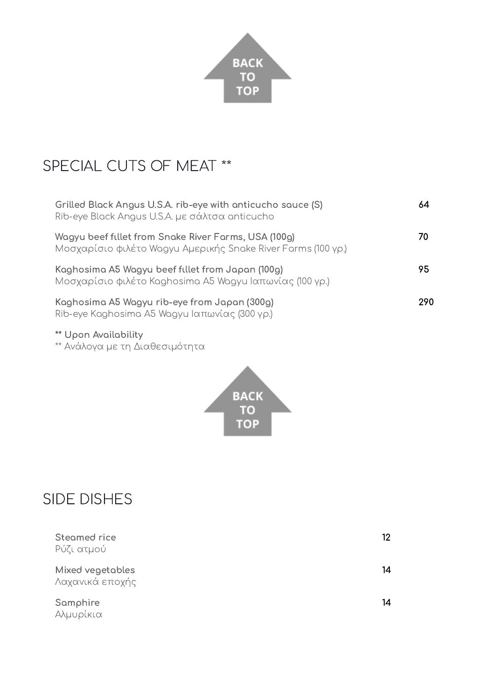

# <span id="page-8-0"></span>SPECIAL CUTS OF MEAT \*\*

| Grilled Black Angus U.S.A. rib-eye with anticucho sauce (S)<br>Rib-eye Black Angus U.S.A. με σάλτσα anticucho        | 64  |
|----------------------------------------------------------------------------------------------------------------------|-----|
| Wagyu beef fillet from Snake River Farms, USA (100g)<br>Μοσχαρίσιο φιλέτο Wagyu Αμερικής Snake River Farms (100 γρ.) | 70  |
| Kaghosima A5 Wagyu beef fillet from Japan (100g)<br>Μοσχαρίσιο φιλέτο Kaghosima A5 Wagyu Ιαπωνίας (100 γρ.)          | 95  |
| Kaghosima A5 Wagyu rib-eye from Japan (300g)<br>Rib-eye Kaghosima A5 Wagyu Ιαπωνίας (300 γρ.)                        | 290 |

- \*\* Upon Availability
- \*\* Ανάλογα με τη Διαθεσιμότητα



## <span id="page-8-1"></span>SIDE DISHES

| Steamed rice<br>Ρύζι ατμού          | 12 |
|-------------------------------------|----|
| Mixed vegetables<br>Λαχανικά εποχής | 14 |
| Samphire<br>Αλμυρίκια               | 14 |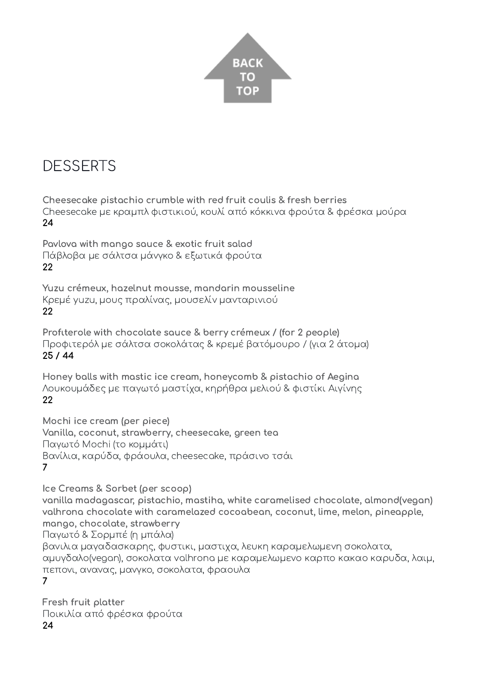

## <span id="page-9-0"></span>**DESSERTS**

Cheesecake pistachio crumble with red fruit coulis & fresh berries Cheesecake με κραμπλ φιστικιού, κουλί από κόκκινα φρούτα & φρέσκα μούρα 24

Pavlova with mango sauce & exotic fruit salad Πάβλοβα με σάλτσα μάνγκο & εξωτικά φρούτα 22

Yuzu crémeux, hazelnut mousse, mandarin mousseline Κρεμέ yuzu, μους πραλίνας, μουσελίν μανταρινιού 22

Profιterole with chocolate sauce & berry crémeux / (for 2 people) Προφιτερόλ με σάλτσα σοκολάτας & κρεμέ βατόμουρο / (για 2 άτομα) 25 / 44

Honey balls with mastic ice cream, honeycomb & pistachio of Aegina Λουκουμάδες με παγωτό μαστίχα, κηρήθρα μελιού & φιστίκι Αιγίνης 22

Mochi ice cream (per piece) Vanilla, coconut, strawberry, cheesecake, green tea Παγωτό Mochi (το κομμάτι) Βανίλια, καρύδα, φράουλα, cheesecake, πράσινο τσάι 7

Ice Creams & Sorbet (per scoop) vanilla madagascar, pistachio, mastiha, white caramelised chocolate, almond(vegan) valhrona chocolate with caramelazed cocoabean, coconut, lime, melon, pineapple, mango, chocolate, strawberry Παγωτό & Σορμπέ (η μπάλα) βανιλια μαγαδασκαρης, φυστικι, μαστιχα, λευκη καραμελωμενη σοκολατα, αμυγδαλο(vegan), σοκολατα valhrona με καραμελωμενο καρπο κακαο καρυδα, λαιμ, πεπονι, ανανας, μανγκο, σοκολατα, φραουλα 7

Fresh fruit platter Ποικιλία από φρέσκα φρούτα 24